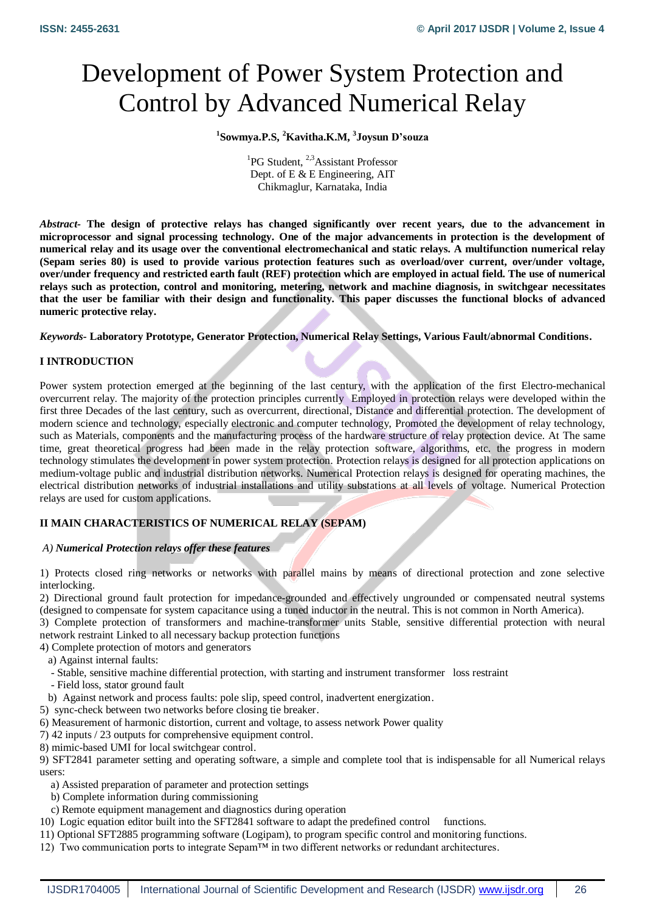# Development of Power System Protection and Control by Advanced Numerical Relay

# **1 Sowmya.P.S, <sup>2</sup>Kavitha.K.M, <sup>3</sup> Joysun D'souza**

<sup>1</sup>PG Student, <sup>2,3</sup>Assistant Professor Dept. of E & E Engineering, AIT Chikmaglur, Karnataka, India

*Abstract-* **The design of protective relays has changed significantly over recent years, due to the advancement in microprocessor and signal processing technology. One of the major advancements in protection is the development of numerical relay and its usage over the conventional electromechanical and static relays. A multifunction numerical relay (Sepam series 80) is used to provide various protection features such as overload/over current, over/under voltage, over/under frequency and restricted earth fault (REF) protection which are employed in actual field. The use of numerical relays such as protection, control and monitoring, metering, network and machine diagnosis, in switchgear necessitates that the user be familiar with their design and functionality. This paper discusses the functional blocks of advanced numeric protective relay.**

*Keywords-* **Laboratory Prototype, Generator Protection, Numerical Relay Settings, Various Fault/abnormal Conditions.**

# **I INTRODUCTION**

Power system protection emerged at the beginning of the last century, with the application of the first Electro-mechanical overcurrent relay. The majority of the protection principles currently Employed in protection relays were developed within the first three Decades of the last century, such as overcurrent, directional, Distance and differential protection. The development of modern science and technology, especially electronic and computer technology, Promoted the development of relay technology, such as Materials, components and the manufacturing process of the hardware structure of relay protection device. At The same time, great theoretical progress had been made in the relay protection software, algorithms, etc. the progress in modern technology stimulates the development in power system protection. Protection relays is designed for all protection applications on medium-voltage public and industrial distribution networks. Numerical Protection relays is designed for operating machines, the electrical distribution networks of industrial installations and utility substations at all levels of voltage. Numerical Protection relays are used for custom applications.

# **II MAIN CHARACTERISTICS OF NUMERICAL RELAY (SEPAM)**

# *A) Numerical Protection relays offer these features*

1) Protects closed ring networks or networks with parallel mains by means of directional protection and zone selective interlocking.

2) Directional ground fault protection for impedance-grounded and effectively ungrounded or compensated neutral systems (designed to compensate for system capacitance using a tuned inductor in the neutral. This is not common in North America).

3) Complete protection of transformers and machine-transformer units Stable, sensitive differential protection with neural network restraint Linked to all necessary backup protection functions

4) Complete protection of motors and generators

a) Against internal faults:

- Stable, sensitive machine differential protection, with starting and instrument transformer loss restraint
- Field loss, stator ground fault
- b) Against network and process faults: pole slip, speed control, inadvertent energization.
- 5) sync-check between two networks before closing tie breaker.
- 6) Measurement of harmonic distortion, current and voltage, to assess network Power quality
- 7) 42 inputs / 23 outputs for comprehensive equipment control.
- 8) mimic-based UMI for local switchgear control.

9) SFT2841 parameter setting and operating software, a simple and complete tool that is indispensable for all Numerical relays users:

- a) Assisted preparation of parameter and protection settings
- b) Complete information during commissioning
- c) Remote equipment management and diagnostics during operation
- 10) Logic equation editor built into the SFT2841 software to adapt the predefined control functions.
- 11) Optional SFT2885 programming software (Logipam), to program specific control and monitoring functions.
- 12) Two communication ports to integrate Sepam™ in two different networks or redundant architectures.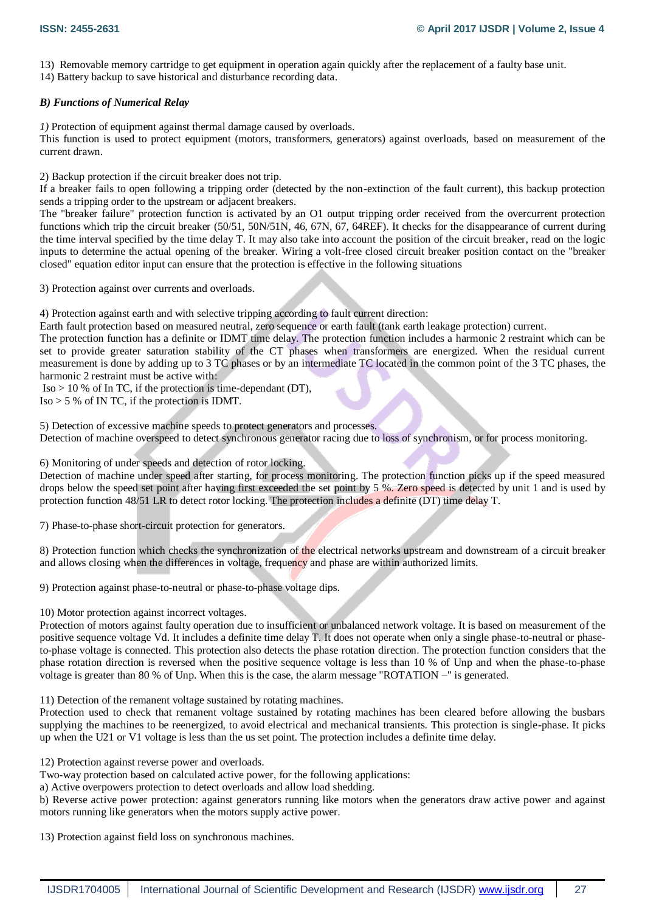13) Removable memory cartridge to get equipment in operation again quickly after the replacement of a faulty base unit.

14) Battery backup to save historical and disturbance recording data.

## *B) Functions of Numerical Relay*

*1)* Protection of equipment against thermal damage caused by overloads.

This function is used to protect equipment (motors, transformers, generators) against overloads, based on measurement of the current drawn.

2) Backup protection if the circuit breaker does not trip.

If a breaker fails to open following a tripping order (detected by the non-extinction of the fault current), this backup protection sends a tripping order to the upstream or adjacent breakers.

The "breaker failure" protection function is activated by an O1 output tripping order received from the overcurrent protection functions which trip the circuit breaker (50/51, 50N/51N, 46, 67N, 67, 64REF). It checks for the disappearance of current during the time interval specified by the time delay T. It may also take into account the position of the circuit breaker, read on the logic inputs to determine the actual opening of the breaker. Wiring a volt-free closed circuit breaker position contact on the "breaker closed" equation editor input can ensure that the protection is effective in the following situations

3) Protection against over currents and overloads.

4) Protection against earth and with selective tripping according to fault current direction:

Earth fault protection based on measured neutral, zero sequence or earth fault (tank earth leakage protection) current.

The protection function has a definite or IDMT time delay. The protection function includes a harmonic 2 restraint which can be set to provide greater saturation stability of the CT phases when transformers are energized. When the residual current measurement is done by adding up to 3 TC phases or by an intermediate TC located in the common point of the 3 TC phases, the harmonic 2 restraint must be active with:

 $\text{Iso} > 10$  % of In TC, if the protection is time-dependant (DT),

 $Iso > 5\%$  of IN TC, if the protection is IDMT.

5) Detection of excessive machine speeds to protect generators and processes. Detection of machine overspeed to detect synchronous generator racing due to loss of synchronism, or for process monitoring.

6) Monitoring of under speeds and detection of rotor locking.

Detection of machine under speed after starting, for process monitoring. The protection function picks up if the speed measured drops below the speed set point after having first exceeded the set point by 5 %. Zero speed is detected by unit 1 and is used by protection function 48/51 LR to detect rotor locking. The protection includes a definite (DT) time delay T.

7) Phase-to-phase short-circuit protection for generators.

8) Protection function which checks the synchronization of the electrical networks upstream and downstream of a circuit breaker and allows closing when the differences in voltage, frequency and phase are within authorized limits.

9) Protection against phase-to-neutral or phase-to-phase voltage dips.

10) Motor protection against incorrect voltages.

Protection of motors against faulty operation due to insufficient or unbalanced network voltage. It is based on measurement of the positive sequence voltage Vd. It includes a definite time delay T. It does not operate when only a single phase-to-neutral or phaseto-phase voltage is connected. This protection also detects the phase rotation direction. The protection function considers that the phase rotation direction is reversed when the positive sequence voltage is less than 10 % of Unp and when the phase-to-phase voltage is greater than 80 % of Unp. When this is the case, the alarm message "ROTATION –" is generated.

11) Detection of the remanent voltage sustained by rotating machines.

Protection used to check that remanent voltage sustained by rotating machines has been cleared before allowing the busbars supplying the machines to be reenergized, to avoid electrical and mechanical transients. This protection is single-phase. It picks up when the U21 or V1 voltage is less than the us set point. The protection includes a definite time delay.

12) Protection against reverse power and overloads.

Two-way protection based on calculated active power, for the following applications:

a) Active overpowers protection to detect overloads and allow load shedding.

b) Reverse active power protection: against generators running like motors when the generators draw active power and against motors running like generators when the motors supply active power.

13) Protection against field loss on synchronous machines.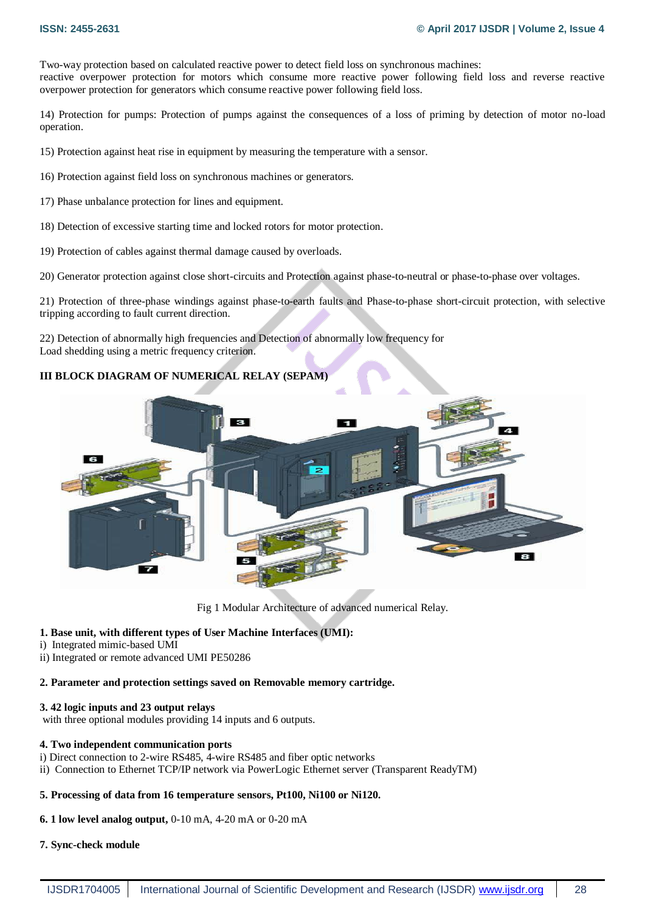Two-way protection based on calculated reactive power to detect field loss on synchronous machines: reactive overpower protection for motors which consume more reactive power following field loss and reverse reactive overpower protection for generators which consume reactive power following field loss.

14) Protection for pumps: Protection of pumps against the consequences of a loss of priming by detection of motor no-load operation.

15) Protection against heat rise in equipment by measuring the temperature with a sensor.

16) Protection against field loss on synchronous machines or generators.

- 17) Phase unbalance protection for lines and equipment.
- 18) Detection of excessive starting time and locked rotors for motor protection.
- 19) Protection of cables against thermal damage caused by overloads.

20) Generator protection against close short-circuits and Protection against phase-to-neutral or phase-to-phase over voltages.

21) Protection of three-phase windings against phase-to-earth faults and Phase-to-phase short-circuit protection, with selective tripping according to fault current direction.

22) Detection of abnormally high frequencies and Detection of abnormally low frequency for Load shedding using a metric frequency criterion.

# **III BLOCK DIAGRAM OF NUMERICAL RELAY (SEPAM)**



Fig 1 Modular Architecture of advanced numerical Relay.

# **1. Base unit, with different types of User Machine Interfaces (UMI):**

i) Integrated mimic-based UMI

ii) Integrated or remote advanced UMI PE50286

## **2. Parameter and protection settings saved on Removable memory cartridge.**

## **3. 42 logic inputs and 23 output relays**

with three optional modules providing 14 inputs and 6 outputs.

## **4. Two independent communication ports**

- i) Direct connection to 2-wire RS485, 4-wire RS485 and fiber optic networks
- ii) Connection to Ethernet TCP/IP network via PowerLogic Ethernet server (Transparent ReadyTM)

## **5. Processing of data from 16 temperature sensors, Pt100, Ni100 or Ni120.**

# **6. 1 low level analog output,** 0-10 mA, 4-20 mA or 0-20 mA

## **7. Sync-check module**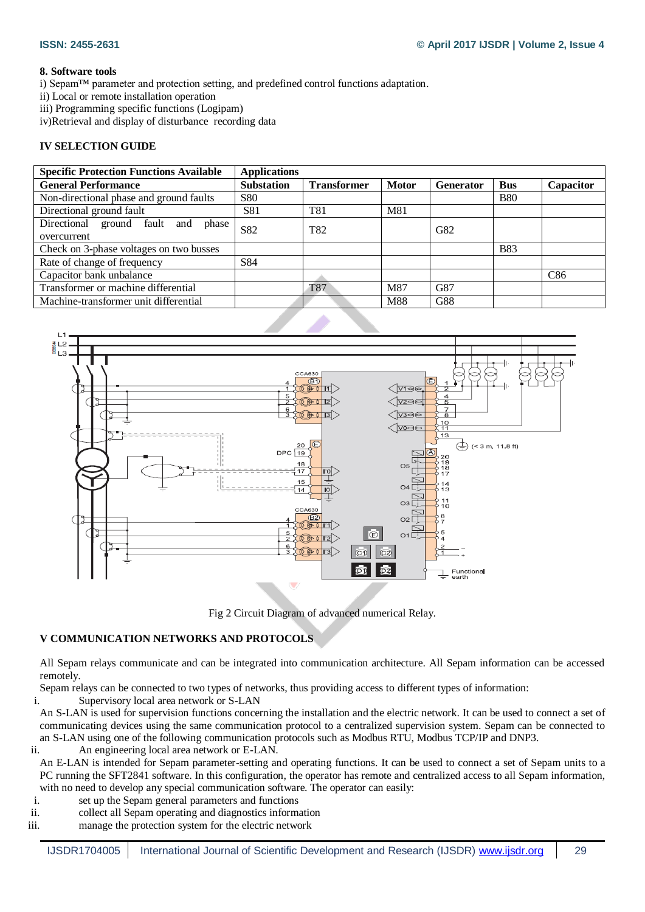## **8. Software tools**

i) Sepam™ parameter and protection setting, and predefined control functions adaptation.

ii) Local or remote installation operation

iii) Programming specific functions (Logipam)

iv)Retrieval and display of disturbance recording data

# **IV SELECTION GUIDE**

| <b>Specific Protection Functions Available</b> | <b>Applications</b> |                    |              |           |            |           |
|------------------------------------------------|---------------------|--------------------|--------------|-----------|------------|-----------|
| <b>General Performance</b>                     | <b>Substation</b>   | <b>Transformer</b> | <b>Motor</b> | Generator | <b>Bus</b> | Capacitor |
| Non-directional phase and ground faults        | <b>S80</b>          |                    |              |           | <b>B80</b> |           |
| Directional ground fault                       | S81                 | T81                | M81          |           |            |           |
| Directional ground fault and<br>phase          | S82                 | T82                |              | G82       |            |           |
| overcurrent                                    |                     |                    |              |           |            |           |
| Check on 3-phase voltages on two busses        |                     |                    |              |           | <b>B83</b> |           |
| Rate of change of frequency                    | S84                 |                    |              |           |            |           |
| Capacitor bank unbalance                       |                     |                    |              |           |            | C86       |
| Transformer or machine differential            |                     | <b>T87</b>         | M87          | G87       |            |           |
| Machine-transformer unit differential          |                     |                    | M88          | G88       |            |           |
|                                                |                     |                    |              |           |            |           |



Fig 2 Circuit Diagram of advanced numerical Relay.

# **V COMMUNICATION NETWORKS AND PROTOCOLS**

All Sepam relays communicate and can be integrated into communication architecture. All Sepam information can be accessed remotely.

Sepam relays can be connected to two types of networks, thus providing access to different types of information:

i. Supervisory local area network or S-LAN

An S-LAN is used for supervision functions concerning the installation and the electric network. It can be used to connect a set of communicating devices using the same communication protocol to a centralized supervision system. Sepam can be connected to an S-LAN using one of the following communication protocols such as Modbus RTU, Modbus TCP/IP and DNP3.

ii. An engineering local area network or E-LAN.

An E-LAN is intended for Sepam parameter-setting and operating functions. It can be used to connect a set of Sepam units to a PC running the SFT2841 software. In this configuration, the operator has remote and centralized access to all Sepam information, with no need to develop any special communication software. The operator can easily:

- i. set up the Sepam general parameters and functions
- ii. collect all Sepam operating and diagnostics information
- iii. manage the protection system for the electric network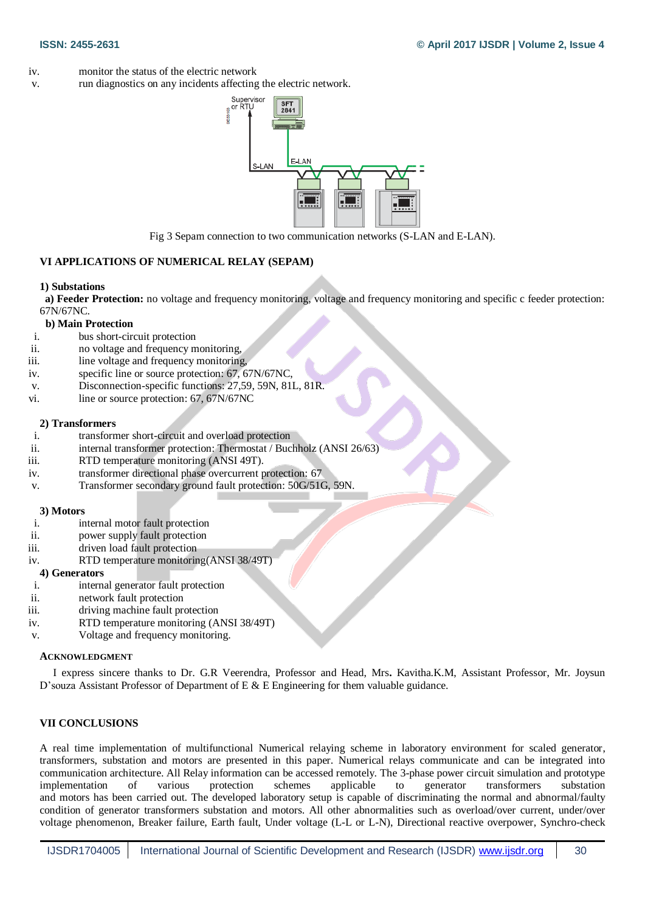- iv. monitor the status of the electric network
- v. run diagnostics on any incidents affecting the electric network.



Fig 3 Sepam connection to two communication networks (S-LAN and E-LAN).

## **VI APPLICATIONS OF NUMERICAL RELAY (SEPAM)**

#### **1) Substations**

 **a) Feeder Protection:** no voltage and frequency monitoring, voltage and frequency monitoring and specific c feeder protection: 67N/67NC.

## **b) Main Protection**

- i. bus short-circuit protection
- ii. no voltage and frequency monitoring,
- iii. line voltage and frequency monitoring,
- iv. specific line or source protection: 67, 67N/67NC,
- v. Disconnection-specific functions: 27,59, 59N, 81L, 81R.
- vi. line or source protection: 67, 67N/67NC

## **2) Transformers**

- i. transformer short-circuit and overload protection
- ii. internal transformer protection: Thermostat / Buchholz (ANSI 26/63)
- iii. RTD temperature monitoring (ANSI 49T).
- iv. transformer directional phase overcurrent protection: 67
- v. Transformer secondary ground fault protection: 50G/51G, 59N.

#### **3) Motors**

- i. internal motor fault protection
- ii. power supply fault protection
- iii. driven load fault protection
- iv. RTD temperature monitoring(ANSI 38/49T)

## **4) Generators**

- i. internal generator fault protection
- ii. network fault protection
- iii. driving machine fault protection
- iv. RTD temperature monitoring (ANSI 38/49T)
- v. Voltage and frequency monitoring.

## **ACKNOWLEDGMENT**

 I express sincere thanks to Dr. G.R Veerendra, Professor and Head, Mrs**.** Kavitha.K.M, Assistant Professor, Mr. Joysun D'souza Assistant Professor of Department of E & E Engineering for them valuable guidance.

## **VII CONCLUSIONS**

A real time implementation of multifunctional Numerical relaying scheme in laboratory environment for scaled generator, transformers, substation and motors are presented in this paper. Numerical relays communicate and can be integrated into communication architecture. All Relay information can be accessed remotely. The 3-phase power circuit simulation and prototype implementation of various protection schemes applicable to generator transformers substation and motors has been carried out. The developed laboratory setup is capable of discriminating the normal and abnormal/faulty condition of generator transformers substation and motors. All other abnormalities such as overload/over current, under/over voltage phenomenon, Breaker failure, Earth fault, Under voltage (L-L or L-N), Directional reactive overpower, Synchro-check